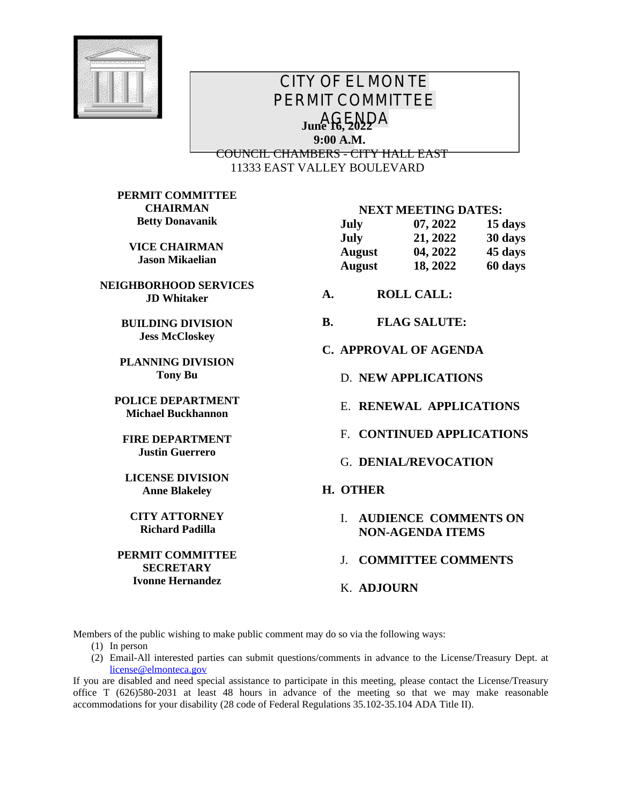

# *CITY OF EL MONTE PERMIT COMMITTEE AGENDA* **June 16, 2022 9:00 A.M.** COUNCIL CHAMBERS - CITY HALL EAST 11333 EAST VALLEY BOULEVARD

**PERMIT COMMITTEE CHAIRMAN Betty Donavanik**

> **VICE CHAIRMAN Jason Mikaelian**

**NEIGHBORHOOD SERVICES JD Whitaker**

> **BUILDING DIVISION Jess McCloskey**

**PLANNING DIVISION Tony Bu**

**POLICE DEPARTMENT Michael Buckhannon**

**FIRE DEPARTMENT Justin Guerrero**

**LICENSE DIVISION Anne Blakeley**

**CITY ATTORNEY Richard Padilla**

**PERMIT COMMITTEE SECRETARY Ivonne Hernandez**

#### **NEXT MEETING DATES:**

| July          | 07, 2022 | 15 days |
|---------------|----------|---------|
| <b>July</b>   | 21, 2022 | 30 days |
| <b>August</b> | 04, 2022 | 45 days |
| <b>August</b> | 18, 2022 | 60 days |

- **A. ROLL CALL:**
- **B. FLAG SALUTE:**
- **C. APPROVAL OF AGENDA**
	- D. **NEW APPLICATIONS**
	- E. **RENEWAL APPLICATIONS**
	- F. **CONTINUED APPLICATIONS**
	- G. **DENIAL/REVOCATION**

#### **H. OTHER**

I. **AUDIENCE COMMENTS ON NON-AGENDA ITEMS**

J. **COMMITTEE COMMENTS**

K. **ADJOURN**

Members of the public wishing to make public comment may do so via the following ways:

- (1) In person
- (2) Email-All interested parties can submit questions/comments in advance to the License/Treasury Dept. at [license@elmonteca.gov](mailto:license@elmonteca.gov)

If you are disabled and need special assistance to participate in this meeting, please contact the License/Treasury office T (626)580-2031 at least 48 hours in advance of the meeting so that we may make reasonable accommodations for your disability (28 code of Federal Regulations 35.102-35.104 ADA Title II).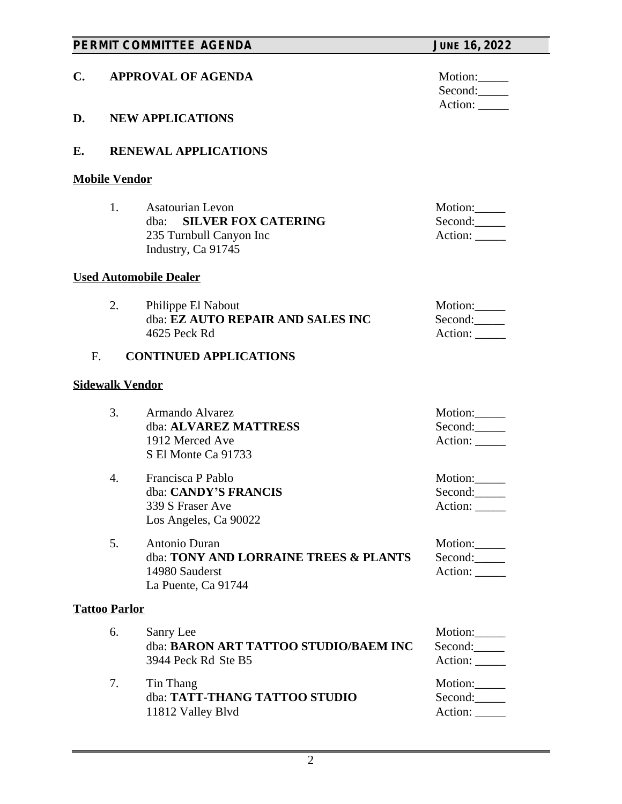| PERMIT COMMITTEE AGENDA |                             | <b>JUNE 16, 2022</b>                                                                                           |                                     |
|-------------------------|-----------------------------|----------------------------------------------------------------------------------------------------------------|-------------------------------------|
| C.                      |                             | <b>APPROVAL OF AGENDA</b>                                                                                      | Motion:<br>Second:                  |
| D.                      |                             | <b>NEW APPLICATIONS</b>                                                                                        | Action:                             |
| E.                      | <b>RENEWAL APPLICATIONS</b> |                                                                                                                |                                     |
|                         | <b>Mobile Vendor</b>        |                                                                                                                |                                     |
|                         | 1.                          | <b>Asatourian Levon</b><br><b>SILVER FOX CATERING</b><br>dba:<br>235 Turnbull Canyon Inc<br>Industry, Ca 91745 | Motion:<br>Second:<br>Action: _____ |
|                         |                             | <b>Used Automobile Dealer</b>                                                                                  |                                     |
|                         | 2.                          | Philippe El Nabout<br>dba: EZ AUTO REPAIR AND SALES INC<br>4625 Peck Rd                                        | Motion:<br>Second:<br>Action: _____ |
| F <sub>1</sub>          |                             | <b>CONTINUED APPLICATIONS</b>                                                                                  |                                     |
|                         | <b>Sidewalk Vendor</b>      |                                                                                                                |                                     |
|                         | 3.                          | Armando Alvarez<br>dba: ALVAREZ MATTRESS<br>1912 Merced Ave<br>S El Monte Ca 91733                             | Motion:<br>Second:<br>Action:       |
|                         | 4.                          | Francisca P Pablo<br>dba: CANDY'S FRANCIS<br>339 S Fraser Ave<br>Los Angeles, Ca 90022                         | Motion:<br>Second:<br>Action: _____ |
|                         | 5 <sub>1</sub>              | Antonio Duran<br>dba: TONY AND LORRAINE TREES & PLANTS<br>14980 Sauderst<br>La Puente, Ca 91744                | Motion:<br>Second:<br>Action: _____ |
|                         | <b>Tattoo Parlor</b>        |                                                                                                                |                                     |
|                         | 6.                          | Sanry Lee<br>dba: BARON ART TATTOO STUDIO/BAEM INC<br>3944 Peck Rd Ste B5                                      | Motion:<br>Second:<br>Action: _____ |
|                         | 7.                          | Tin Thang<br>dba: TATT-THANG TATTOO STUDIO<br>11812 Valley Blvd                                                | Motion:<br>Second:<br>Action:       |